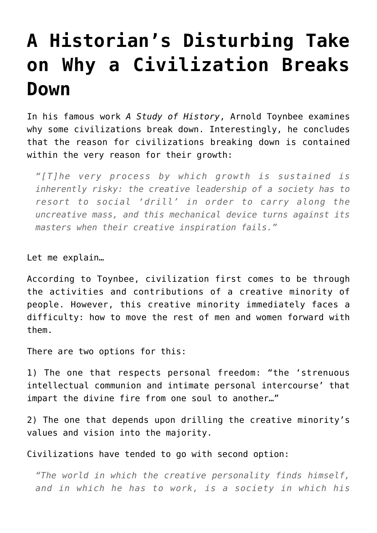## **[A Historian's Disturbing Take](https://intellectualtakeout.org/2016/03/a-historians-disturbing-take-on-why-a-civilization-breaks-down/) [on Why a Civilization Breaks](https://intellectualtakeout.org/2016/03/a-historians-disturbing-take-on-why-a-civilization-breaks-down/) [Down](https://intellectualtakeout.org/2016/03/a-historians-disturbing-take-on-why-a-civilization-breaks-down/)**

In his famous work *A Study of History*, Arnold Toynbee examines why some civilizations break down. Interestingly, he concludes that the reason for civilizations breaking down is contained within the very reason for their growth:

*"[T]he very process by which growth is sustained is inherently risky: the creative leadership of a society has to resort to social 'drill' in order to carry along the uncreative mass, and this mechanical device turns against its masters when their creative inspiration fails."*

Let me explain…

According to Toynbee, civilization first comes to be through the activities and contributions of a creative minority of people. However, this creative minority immediately faces a difficulty: how to move the rest of men and women forward with them.

There are two options for this:

1) The one that respects personal freedom: "the 'strenuous intellectual communion and intimate personal intercourse' that impart the divine fire from one soul to another…"

2) The one that depends upon drilling the creative minority's values and vision into the majority.

Civilizations have tended to go with second option:

*"The world in which the creative personality finds himself, and in which he has to work, is a society in which his*